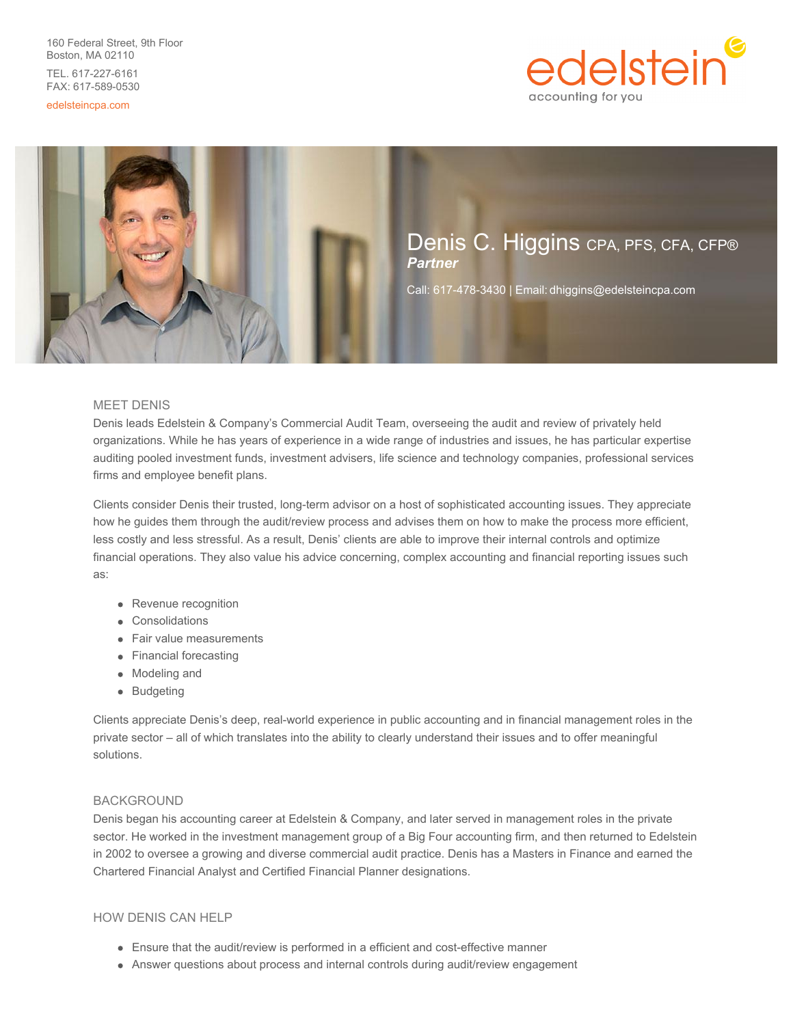160 Federal Street, 9th Floor Boston, MA 02110 TEL. 617-227-6161 FAX: 617-589-0530

edelsteincpa.com





### MEET DENIS

Denis leads Edelstein & Company's Commercial Audit Team, overseeing the audit and review of privately held organizations. While he has years of experience in a wide range of industries and issues, he has particular expertise auditing pooled investment funds, investment advisers, life science and technology companies, professional services firms and employee benefit plans.

Clients consider Denis their trusted, long-term advisor on a host of sophisticated accounting issues. They appreciate how he guides them through the audit/review process and advises them on how to make the process more efficient, less costly and less stressful. As a result, Denis' clients are able to improve their internal controls and optimize financial operations. They also value his advice concerning, complex accounting and financial reporting issues such as:

- Revenue recognition
- Consolidations
- Fair value measurements
- Financial forecasting
- Modeling and
- Budgeting

Clients appreciate Denis's deep, real-world experience in public accounting and in financial management roles in the private sector – all of which translates into the ability to clearly understand their issues and to offer meaningful solutions.

#### BACKGROUND

Denis began his accounting career at Edelstein & Company, and later served in management roles in the private sector. He worked in the investment management group of a Big Four accounting firm, and then returned to Edelstein in 2002 to oversee a growing and diverse commercial audit practice. Denis has a Masters in Finance and earned the Chartered Financial Analyst and Certified Financial Planner designations.

# HOW DENIS CAN HELP

- Ensure that the audit/review is performed in a efficient and cost-effective manner
- Answer questions about process and internal controls during audit/review engagement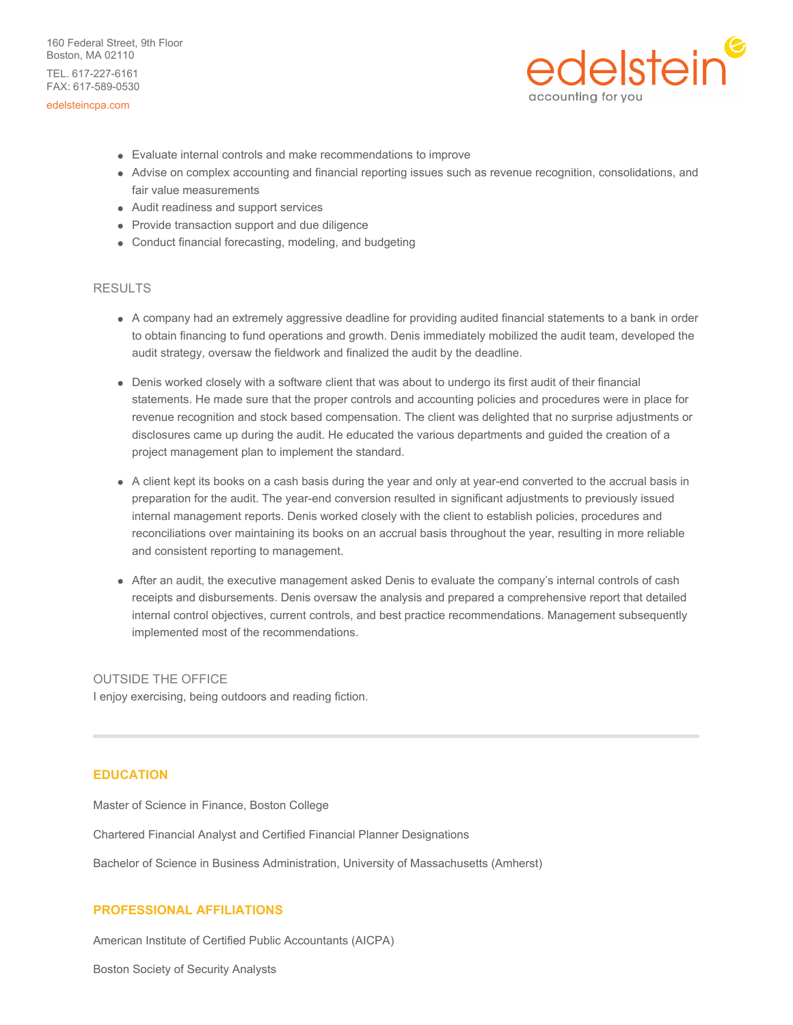160 Federal Street, 9th Floor Boston, MA 02110 TEL. 617-227-6161 FAX: 617-589-0530

#### edelsteincpa.com



- Evaluate internal controls and make recommendations to improve
- Advise on complex accounting and financial reporting issues such as revenue recognition, consolidations, and fair value measurements
- Audit readiness and support services
- Provide transaction support and due diligence
- Conduct financial forecasting, modeling, and budgeting

### RESULTS

- A company had an extremely aggressive deadline for providing audited financial statements to a bank in order to obtain financing to fund operations and growth. Denis immediately mobilized the audit team, developed the audit strategy, oversaw the fieldwork and finalized the audit by the deadline.
- Denis worked closely with a software client that was about to undergo its first audit of their financial statements. He made sure that the proper controls and accounting policies and procedures were in place for revenue recognition and stock based compensation. The client was delighted that no surprise adjustments or disclosures came up during the audit. He educated the various departments and guided the creation of a project management plan to implement the standard.
- A client kept its books on a cash basis during the year and only at year-end converted to the accrual basis in preparation for the audit. The year-end conversion resulted in significant adjustments to previously issued internal management reports. Denis worked closely with the client to establish policies, procedures and reconciliations over maintaining its books on an accrual basis throughout the year, resulting in more reliable and consistent reporting to management.
- After an audit, the executive management asked Denis to evaluate the company's internal controls of cash receipts and disbursements. Denis oversaw the analysis and prepared a comprehensive report that detailed internal control objectives, current controls, and best practice recommendations. Management subsequently implemented most of the recommendations.

#### OUTSIDE THE OFFICE

I enjoy exercising, being outdoors and reading fiction.

## **EDUCATION**

Master of Science in Finance, Boston College

Chartered Financial Analyst and Certified Financial Planner Designations

Bachelor of Science in Business Administration, University of Massachusetts (Amherst)

#### **PROFESSIONAL AFFILIATIONS**

American Institute of Certified Public Accountants (AICPA)

Boston Society of Security Analysts